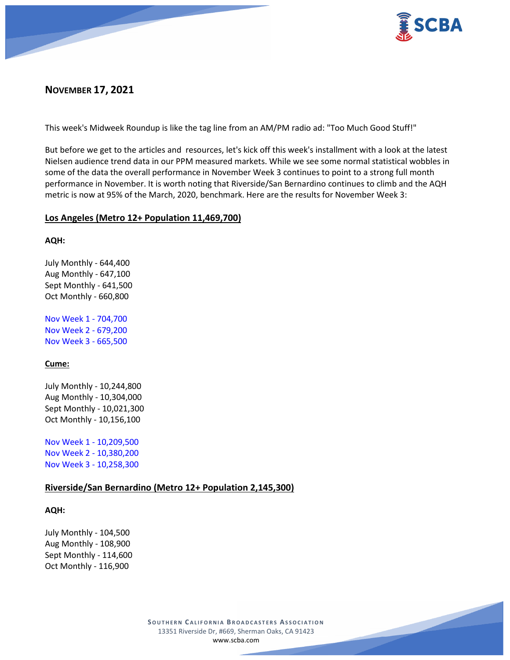

# **NOVEMBER 17, 2021**

This week's Midweek Roundup is like the tag line from an AM/PM radio ad: "Too Much Good Stuff!"

But before we get to the articles and resources, let's kick off this week's installment with a look at the latest Nielsen audience trend data in our PPM measured markets. While we see some normal statistical wobbles in some of the data the overall performance in November Week 3 continues to point to a strong full month performance in November. It is worth noting that Riverside/San Bernardino continues to climb and the AQH metric is now at 95% of the March, 2020, benchmark. Here are the results for November Week 3:

# **Los Angeles (Metro 12+ Population 11,469,700)**

#### **AQH:**

July Monthly - 644,400 Aug Monthly - 647,100 Sept Monthly - 641,500 Oct Monthly - 660,800

Nov Week 1 - 704,700 Nov Week 2 - 679,200 Nov Week 3 - 665,500

# **Cume:**

July Monthly - 10,244,800 Aug Monthly - 10,304,000 Sept Monthly - 10,021,300 Oct Monthly - 10,156,100

Nov Week 1 - 10,209,500 Nov Week 2 - 10,380,200 Nov Week 3 - 10,258,300

# **Riverside/San Bernardino (Metro 12+ Population 2,145,300)**

#### **AQH:**

July Monthly - 104,500 Aug Monthly - 108,900 Sept Monthly - 114,600 Oct Monthly - 116,900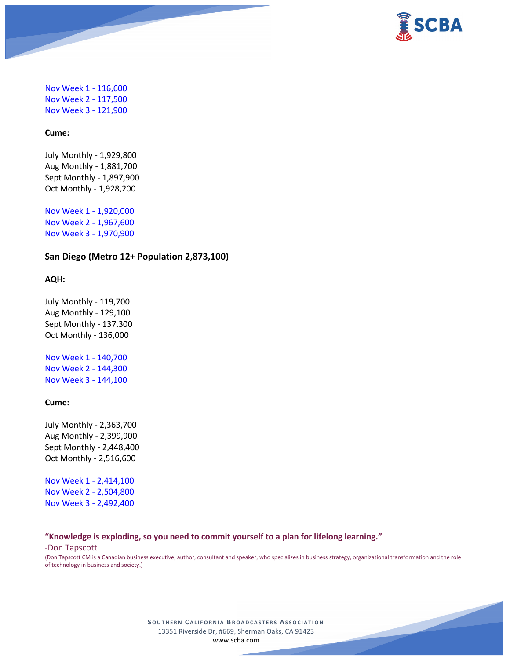

Nov Week 1 - 116,600 Nov Week 2 - 117,500 Nov Week 3 - 121,900

## **Cume:**

July Monthly - 1,929,800 Aug Monthly - 1,881,700 Sept Monthly - 1,897,900 Oct Monthly - 1,928,200

Nov Week 1 - 1,920,000 Nov Week 2 - 1,967,600 Nov Week 3 - 1,970,900

# **San Diego (Metro 12+ Population 2,873,100)**

#### **AQH:**

July Monthly - 119,700 Aug Monthly - 129,100 Sept Monthly - 137,300 Oct Monthly - 136,000

Nov Week 1 - 140,700 Nov Week 2 - 144,300 Nov Week 3 - 144,100

#### **Cume:**

July Monthly - 2,363,700 Aug Monthly - 2,399,900 Sept Monthly - 2,448,400 Oct Monthly - 2,516,600

Nov Week 1 - 2,414,100 Nov Week 2 - 2,504,800 Nov Week 3 - 2,492,400

#### **"Knowledge is exploding, so you need to commit yourself to a plan for lifelong learning."**

-Don Tapscott

(Don Tapscott CM is a Canadian business executive, author, consultant and speaker, who specializes in business strategy, organizational transformation and the role of technology in business and society.)

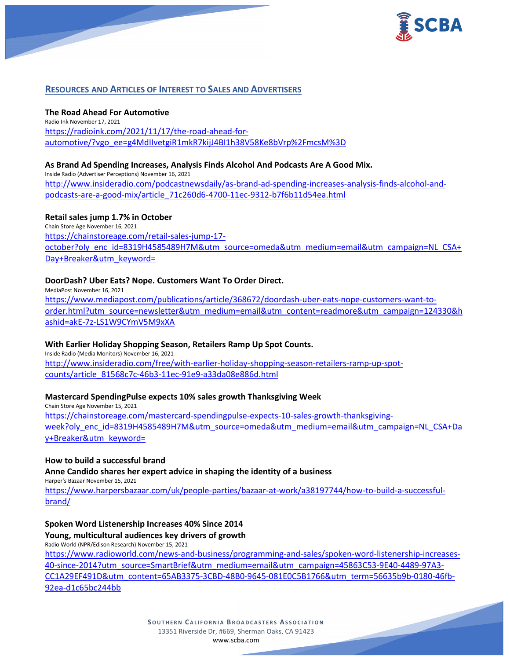

# **RESOURCES AND ARTICLES OF INTEREST TO SALES AND ADVERTISERS**

# **The Road Ahead For Automotive**

Radio Ink November 17, 2021 [https://radioink.com/2021/11/17/the-road-ahead-for](https://radioink.com/2021/11/17/the-road-ahead-for-automotive/?vgo_ee=g4MdIIvetgiR1mkR7kijJ4BI1h38V58Ke8bVrp%2FmcsM%3D)[automotive/?vgo\\_ee=g4MdIIvetgiR1mkR7kijJ4BI1h38V58Ke8bVrp%2FmcsM%3D](https://radioink.com/2021/11/17/the-road-ahead-for-automotive/?vgo_ee=g4MdIIvetgiR1mkR7kijJ4BI1h38V58Ke8bVrp%2FmcsM%3D)

# **As Brand Ad Spending Increases, Analysis Finds Alcohol And Podcasts Are A Good Mix.**

Inside Radio (Advertiser Perceptions) November 16, 2021 [http://www.insideradio.com/podcastnewsdaily/as-brand-ad-spending-increases-analysis-finds-alcohol-and](http://www.insideradio.com/podcastnewsdaily/as-brand-ad-spending-increases-analysis-finds-alcohol-and-podcasts-are-a-good-mix/article_71c260d6-4700-11ec-9312-b7f6b11d54ea.html)[podcasts-are-a-good-mix/article\\_71c260d6-4700-11ec-9312-b7f6b11d54ea.html](http://www.insideradio.com/podcastnewsdaily/as-brand-ad-spending-increases-analysis-finds-alcohol-and-podcasts-are-a-good-mix/article_71c260d6-4700-11ec-9312-b7f6b11d54ea.html)

# **Retail sales jump 1.7% in October**

Chain Store Age November 16, 2021 [https://chainstoreage.com/retail-sales-jump-17](https://chainstoreage.com/retail-sales-jump-17-october?oly_enc_id=8319H4585489H7M&utm_source=omeda&utm_medium=email&utm_campaign=NL_CSA+Day+Breaker&utm_keyword=) [october?oly\\_enc\\_id=8319H4585489H7M&utm\\_source=omeda&utm\\_medium=email&utm\\_campaign=NL\\_CSA+](https://chainstoreage.com/retail-sales-jump-17-october?oly_enc_id=8319H4585489H7M&utm_source=omeda&utm_medium=email&utm_campaign=NL_CSA+Day+Breaker&utm_keyword=) [Day+Breaker&utm\\_keyword=](https://chainstoreage.com/retail-sales-jump-17-october?oly_enc_id=8319H4585489H7M&utm_source=omeda&utm_medium=email&utm_campaign=NL_CSA+Day+Breaker&utm_keyword=)

# **DoorDash? Uber Eats? Nope. Customers Want To Order Direct.**

MediaPost November 16, 2021 [https://www.mediapost.com/publications/article/368672/doordash-uber-eats-nope-customers-want-to](https://www.mediapost.com/publications/article/368672/doordash-uber-eats-nope-customers-want-to-order.html?utm_source=newsletter&utm_medium=email&utm_content=readmore&utm_campaign=124330&hashid=akE-7z-LS1W9CYmV5M9xXA)[order.html?utm\\_source=newsletter&utm\\_medium=email&utm\\_content=readmore&utm\\_campaign=124330&h](https://www.mediapost.com/publications/article/368672/doordash-uber-eats-nope-customers-want-to-order.html?utm_source=newsletter&utm_medium=email&utm_content=readmore&utm_campaign=124330&hashid=akE-7z-LS1W9CYmV5M9xXA) [ashid=akE-7z-LS1W9CYmV5M9xXA](https://www.mediapost.com/publications/article/368672/doordash-uber-eats-nope-customers-want-to-order.html?utm_source=newsletter&utm_medium=email&utm_content=readmore&utm_campaign=124330&hashid=akE-7z-LS1W9CYmV5M9xXA)

# **With Earlier Holiday Shopping Season, Retailers Ramp Up Spot Counts.**

Inside Radio (Media Monitors) November 16, 2021 [http://www.insideradio.com/free/with-earlier-holiday-shopping-season-retailers-ramp-up-spot](http://www.insideradio.com/free/with-earlier-holiday-shopping-season-retailers-ramp-up-spot-counts/article_81568c7c-46b3-11ec-91e9-a33da08e886d.html)[counts/article\\_81568c7c-46b3-11ec-91e9-a33da08e886d.html](http://www.insideradio.com/free/with-earlier-holiday-shopping-season-retailers-ramp-up-spot-counts/article_81568c7c-46b3-11ec-91e9-a33da08e886d.html)

# **Mastercard SpendingPulse expects 10% sales growth Thanksgiving Week**

Chain Store Age November 15, 2021 [https://chainstoreage.com/mastercard-spendingpulse-expects-10-sales-growth-thanksgiving](https://chainstoreage.com/mastercard-spendingpulse-expects-10-sales-growth-thanksgiving-week?oly_enc_id=8319H4585489H7M&utm_source=omeda&utm_medium=email&utm_campaign=NL_CSA+Day+Breaker&utm_keyword=)[week?oly\\_enc\\_id=8319H4585489H7M&utm\\_source=omeda&utm\\_medium=email&utm\\_campaign=NL\\_CSA+Da](https://chainstoreage.com/mastercard-spendingpulse-expects-10-sales-growth-thanksgiving-week?oly_enc_id=8319H4585489H7M&utm_source=omeda&utm_medium=email&utm_campaign=NL_CSA+Day+Breaker&utm_keyword=) [y+Breaker&utm\\_keyword=](https://chainstoreage.com/mastercard-spendingpulse-expects-10-sales-growth-thanksgiving-week?oly_enc_id=8319H4585489H7M&utm_source=omeda&utm_medium=email&utm_campaign=NL_CSA+Day+Breaker&utm_keyword=)

#### **How to build a successful brand**

**Anne Candido shares her expert advice in shaping the identity of a business**

Harper's Bazaar November 15, 2021

[https://www.harpersbazaar.com/uk/people-parties/bazaar-at-work/a38197744/how-to-build-a-successful](https://www.harpersbazaar.com/uk/people-parties/bazaar-at-work/a38197744/how-to-build-a-successful-brand/)[brand/](https://www.harpersbazaar.com/uk/people-parties/bazaar-at-work/a38197744/how-to-build-a-successful-brand/)

**Spoken Word Listenership Increases 40% Since 2014**

**Young, multicultural audiences key drivers of growth**

Radio World (NPR/Edison Research) November 15, 2021

[https://www.radioworld.com/news-and-business/programming-and-sales/spoken-word-listenership-increases-](https://www.radioworld.com/news-and-business/programming-and-sales/spoken-word-listenership-increases-40-since-2014?utm_source=SmartBrief&utm_medium=email&utm_campaign=45863C53-9E40-4489-97A3-CC1A29EF491D&utm_content=65AB3375-3CBD-48B0-9645-081E0C5B1766&utm_term=56635b9b-0180-46fb-92ea-d1c65bc244bb)[40-since-2014?utm\\_source=SmartBrief&utm\\_medium=email&utm\\_campaign=45863C53-9E40-4489-97A3-](https://www.radioworld.com/news-and-business/programming-and-sales/spoken-word-listenership-increases-40-since-2014?utm_source=SmartBrief&utm_medium=email&utm_campaign=45863C53-9E40-4489-97A3-CC1A29EF491D&utm_content=65AB3375-3CBD-48B0-9645-081E0C5B1766&utm_term=56635b9b-0180-46fb-92ea-d1c65bc244bb) [CC1A29EF491D&utm\\_content=65AB3375-3CBD-48B0-9645-081E0C5B1766&utm\\_term=56635b9b-0180-46fb-](https://www.radioworld.com/news-and-business/programming-and-sales/spoken-word-listenership-increases-40-since-2014?utm_source=SmartBrief&utm_medium=email&utm_campaign=45863C53-9E40-4489-97A3-CC1A29EF491D&utm_content=65AB3375-3CBD-48B0-9645-081E0C5B1766&utm_term=56635b9b-0180-46fb-92ea-d1c65bc244bb)[92ea-d1c65bc244bb](https://www.radioworld.com/news-and-business/programming-and-sales/spoken-word-listenership-increases-40-since-2014?utm_source=SmartBrief&utm_medium=email&utm_campaign=45863C53-9E40-4489-97A3-CC1A29EF491D&utm_content=65AB3375-3CBD-48B0-9645-081E0C5B1766&utm_term=56635b9b-0180-46fb-92ea-d1c65bc244bb)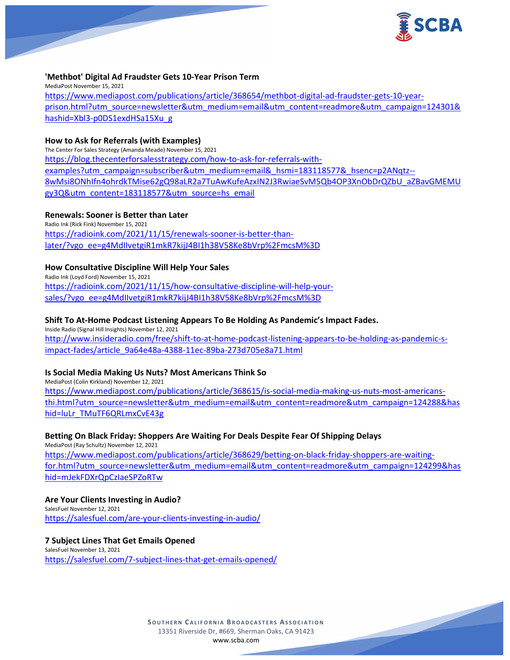

# **'Methbot' Digital Ad Fraudster Gets 10-Year Prison Term**

MediaPost November 15, 2021 [https://www.mediapost.com/publications/article/368654/methbot-digital-ad-fraudster-gets-10-year](https://www.mediapost.com/publications/article/368654/methbot-digital-ad-fraudster-gets-10-year-prison.html?utm_source=newsletter&utm_medium=email&utm_content=readmore&utm_campaign=124301&hashid=Xbl3-p0DS1exdHSa15Xu_g)[prison.html?utm\\_source=newsletter&utm\\_medium=email&utm\\_content=readmore&utm\\_campaign=124301&](https://www.mediapost.com/publications/article/368654/methbot-digital-ad-fraudster-gets-10-year-prison.html?utm_source=newsletter&utm_medium=email&utm_content=readmore&utm_campaign=124301&hashid=Xbl3-p0DS1exdHSa15Xu_g) [hashid=Xbl3-p0DS1exdHSa15Xu\\_g](https://www.mediapost.com/publications/article/368654/methbot-digital-ad-fraudster-gets-10-year-prison.html?utm_source=newsletter&utm_medium=email&utm_content=readmore&utm_campaign=124301&hashid=Xbl3-p0DS1exdHSa15Xu_g)

#### **How to Ask for Referrals (with Examples)**

The Center For Sales Strategy (Amanda Meade) November 15, 2021 [https://blog.thecenterforsalesstrategy.com/how-to-ask-for-referrals-with](https://blog.thecenterforsalesstrategy.com/how-to-ask-for-referrals-with-examples?utm_campaign=subscriber&utm_medium=email&_hsmi=183118577&_hsenc=p2ANqtz--8wMsi8ONhIfn4ohrdkTMise62gQ98aLR2a7TuAwKufeAzxIN2J3RwiaeSvM5Qb4OP3XnObDrQZbU_aZBavGMEMUgy3Q&utm_content=183118577&utm_source=hs_email)[examples?utm\\_campaign=subscriber&utm\\_medium=email&\\_hsmi=183118577&\\_hsenc=p2ANqtz--](https://blog.thecenterforsalesstrategy.com/how-to-ask-for-referrals-with-examples?utm_campaign=subscriber&utm_medium=email&_hsmi=183118577&_hsenc=p2ANqtz--8wMsi8ONhIfn4ohrdkTMise62gQ98aLR2a7TuAwKufeAzxIN2J3RwiaeSvM5Qb4OP3XnObDrQZbU_aZBavGMEMUgy3Q&utm_content=183118577&utm_source=hs_email) [8wMsi8ONhIfn4ohrdkTMise62gQ98aLR2a7TuAwKufeAzxIN2J3RwiaeSvM5Qb4OP3XnObDrQZbU\\_aZBavGMEMU](https://blog.thecenterforsalesstrategy.com/how-to-ask-for-referrals-with-examples?utm_campaign=subscriber&utm_medium=email&_hsmi=183118577&_hsenc=p2ANqtz--8wMsi8ONhIfn4ohrdkTMise62gQ98aLR2a7TuAwKufeAzxIN2J3RwiaeSvM5Qb4OP3XnObDrQZbU_aZBavGMEMUgy3Q&utm_content=183118577&utm_source=hs_email) [gy3Q&utm\\_content=183118577&utm\\_source=hs\\_email](https://blog.thecenterforsalesstrategy.com/how-to-ask-for-referrals-with-examples?utm_campaign=subscriber&utm_medium=email&_hsmi=183118577&_hsenc=p2ANqtz--8wMsi8ONhIfn4ohrdkTMise62gQ98aLR2a7TuAwKufeAzxIN2J3RwiaeSvM5Qb4OP3XnObDrQZbU_aZBavGMEMUgy3Q&utm_content=183118577&utm_source=hs_email)

## **Renewals: Sooner is Better than Later**

Radio Ink (Rick Fink) November 15, 2021 [https://radioink.com/2021/11/15/renewals-sooner-is-better-than](https://radioink.com/2021/11/15/renewals-sooner-is-better-than-later/?vgo_ee=g4MdIIvetgiR1mkR7kijJ4BI1h38V58Ke8bVrp%2FmcsM%3D)[later/?vgo\\_ee=g4MdIIvetgiR1mkR7kijJ4BI1h38V58Ke8bVrp%2FmcsM%3D](https://radioink.com/2021/11/15/renewals-sooner-is-better-than-later/?vgo_ee=g4MdIIvetgiR1mkR7kijJ4BI1h38V58Ke8bVrp%2FmcsM%3D)

## **How Consultative Discipline Will Help Your Sales**

Radio Ink (Loyd Ford) November 15, 2021 [https://radioink.com/2021/11/15/how-consultative-discipline-will-help-your](https://radioink.com/2021/11/15/how-consultative-discipline-will-help-your-sales/?vgo_ee=g4MdIIvetgiR1mkR7kijJ4BI1h38V58Ke8bVrp%2FmcsM%3D)[sales/?vgo\\_ee=g4MdIIvetgiR1mkR7kijJ4BI1h38V58Ke8bVrp%2FmcsM%3D](https://radioink.com/2021/11/15/how-consultative-discipline-will-help-your-sales/?vgo_ee=g4MdIIvetgiR1mkR7kijJ4BI1h38V58Ke8bVrp%2FmcsM%3D)

## **Shift To At-Home Podcast Listening Appears To Be Holding As Pandemic's Impact Fades.**

Inside Radio (Signal Hill Insights) November 12, 2021 [http://www.insideradio.com/free/shift-to-at-home-podcast-listening-appears-to-be-holding-as-pandemic-s](http://www.insideradio.com/free/shift-to-at-home-podcast-listening-appears-to-be-holding-as-pandemic-s-impact-fades/article_9a64e48a-4388-11ec-89ba-273d705e8a71.html)[impact-fades/article\\_9a64e48a-4388-11ec-89ba-273d705e8a71.html](http://www.insideradio.com/free/shift-to-at-home-podcast-listening-appears-to-be-holding-as-pandemic-s-impact-fades/article_9a64e48a-4388-11ec-89ba-273d705e8a71.html)

#### **Is Social Media Making Us Nuts? Most Americans Think So**

MediaPost (Colin Kirkland) November 12, 2021 [https://www.mediapost.com/publications/article/368615/is-social-media-making-us-nuts-most-americans](https://www.mediapost.com/publications/article/368615/is-social-media-making-us-nuts-most-americans-thi.html?utm_source=newsletter&utm_medium=email&utm_content=readmore&utm_campaign=124288&hashid=luLr_TMuTF6QRLmxCvE43g)[thi.html?utm\\_source=newsletter&utm\\_medium=email&utm\\_content=readmore&utm\\_campaign=124288&has](https://www.mediapost.com/publications/article/368615/is-social-media-making-us-nuts-most-americans-thi.html?utm_source=newsletter&utm_medium=email&utm_content=readmore&utm_campaign=124288&hashid=luLr_TMuTF6QRLmxCvE43g) [hid=luLr\\_TMuTF6QRLmxCvE43g](https://www.mediapost.com/publications/article/368615/is-social-media-making-us-nuts-most-americans-thi.html?utm_source=newsletter&utm_medium=email&utm_content=readmore&utm_campaign=124288&hashid=luLr_TMuTF6QRLmxCvE43g)

#### **Betting On Black Friday: Shoppers Are Waiting For Deals Despite Fear Of Shipping Delays**

MediaPost (Ray Schultz) November 12, 2021 [https://www.mediapost.com/publications/article/368629/betting-on-black-friday-shoppers-are-waiting](https://www.mediapost.com/publications/article/368629/betting-on-black-friday-shoppers-are-waiting-for.html?utm_source=newsletter&utm_medium=email&utm_content=readmore&utm_campaign=124299&hashid=mJekFDXrQpCzIaeSPZoRTw)[for.html?utm\\_source=newsletter&utm\\_medium=email&utm\\_content=readmore&utm\\_campaign=124299&has](https://www.mediapost.com/publications/article/368629/betting-on-black-friday-shoppers-are-waiting-for.html?utm_source=newsletter&utm_medium=email&utm_content=readmore&utm_campaign=124299&hashid=mJekFDXrQpCzIaeSPZoRTw) [hid=mJekFDXrQpCzIaeSPZoRTw](https://www.mediapost.com/publications/article/368629/betting-on-black-friday-shoppers-are-waiting-for.html?utm_source=newsletter&utm_medium=email&utm_content=readmore&utm_campaign=124299&hashid=mJekFDXrQpCzIaeSPZoRTw)

**Are Your Clients Investing in Audio?** SalesFuel November 12, 2021 <https://salesfuel.com/are-your-clients-investing-in-audio/>

# **7 Subject Lines That Get Emails Opened**

SalesFuel November 13, 2021 <https://salesfuel.com/7-subject-lines-that-get-emails-opened/>

> **SOUTHERN C ALIFORNIA B ROADCASTERS ASSOCIATION** 13351 Riverside Dr, #669, Sherman Oaks, CA 91423 [www.scba.com](http://www.scba.com/)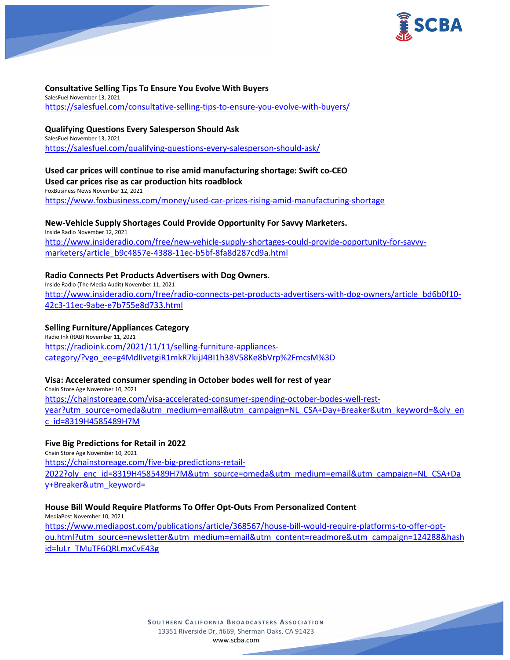

# **Consultative Selling Tips To Ensure You Evolve With Buyers**

SalesFuel November 13, 2021 <https://salesfuel.com/consultative-selling-tips-to-ensure-you-evolve-with-buyers/>

# **Qualifying Questions Every Salesperson Should Ask**

SalesFuel November 13, 2021 <https://salesfuel.com/qualifying-questions-every-salesperson-should-ask/>

# **Used car prices will continue to rise amid manufacturing shortage: Swift co-CEO Used car prices rise as car production hits roadblock** FoxBusiness News November 12, 2021

<https://www.foxbusiness.com/money/used-car-prices-rising-amid-manufacturing-shortage>

# **New-Vehicle Supply Shortages Could Provide Opportunity For Savvy Marketers.**

Inside Radio November 12, 2021 [http://www.insideradio.com/free/new-vehicle-supply-shortages-could-provide-opportunity-for-savvy](http://www.insideradio.com/free/new-vehicle-supply-shortages-could-provide-opportunity-for-savvy-marketers/article_b9c4857e-4388-11ec-b5bf-8fa8d287cd9a.html)[marketers/article\\_b9c4857e-4388-11ec-b5bf-8fa8d287cd9a.html](http://www.insideradio.com/free/new-vehicle-supply-shortages-could-provide-opportunity-for-savvy-marketers/article_b9c4857e-4388-11ec-b5bf-8fa8d287cd9a.html)

# **Radio Connects Pet Products Advertisers with Dog Owners.**

Inside Radio (The Media Audit) November 11, 2021 [http://www.insideradio.com/free/radio-connects-pet-products-advertisers-with-dog-owners/article\\_bd6b0f10-](http://www.insideradio.com/free/radio-connects-pet-products-advertisers-with-dog-owners/article_bd6b0f10-42c3-11ec-9abe-e7b755e8d733.html) [42c3-11ec-9abe-e7b755e8d733.html](http://www.insideradio.com/free/radio-connects-pet-products-advertisers-with-dog-owners/article_bd6b0f10-42c3-11ec-9abe-e7b755e8d733.html)

# **Selling Furniture/Appliances Category**

Radio Ink (RAB) November 11, 2021 [https://radioink.com/2021/11/11/selling-furniture-appliances](https://radioink.com/2021/11/11/selling-furniture-appliances-category/?vgo_ee=g4MdIIvetgiR1mkR7kijJ4BI1h38V58Ke8bVrp%2FmcsM%3D)[category/?vgo\\_ee=g4MdIIvetgiR1mkR7kijJ4BI1h38V58Ke8bVrp%2FmcsM%3D](https://radioink.com/2021/11/11/selling-furniture-appliances-category/?vgo_ee=g4MdIIvetgiR1mkR7kijJ4BI1h38V58Ke8bVrp%2FmcsM%3D)

# **Visa: Accelerated consumer spending in October bodes well for rest of year**

Chain Store Age November 10, 2021 [https://chainstoreage.com/visa-accelerated-consumer-spending-october-bodes-well-rest](https://chainstoreage.com/visa-accelerated-consumer-spending-october-bodes-well-rest-year?utm_source=omeda&utm_medium=email&utm_campaign=NL_CSA+Day+Breaker&utm_keyword=&oly_enc_id=8319H4585489H7M)[year?utm\\_source=omeda&utm\\_medium=email&utm\\_campaign=NL\\_CSA+Day+Breaker&utm\\_keyword=&oly\\_en](https://chainstoreage.com/visa-accelerated-consumer-spending-october-bodes-well-rest-year?utm_source=omeda&utm_medium=email&utm_campaign=NL_CSA+Day+Breaker&utm_keyword=&oly_enc_id=8319H4585489H7M) [c\\_id=8319H4585489H7M](https://chainstoreage.com/visa-accelerated-consumer-spending-october-bodes-well-rest-year?utm_source=omeda&utm_medium=email&utm_campaign=NL_CSA+Day+Breaker&utm_keyword=&oly_enc_id=8319H4585489H7M)

# **Five Big Predictions for Retail in 2022**

Chain Store Age November 10, 2021 [https://chainstoreage.com/five-big-predictions-retail-](https://chainstoreage.com/five-big-predictions-retail-2022?oly_enc_id=8319H4585489H7M&utm_source=omeda&utm_medium=email&utm_campaign=NL_CSA+Day+Breaker&utm_keyword=)[2022?oly\\_enc\\_id=8319H4585489H7M&utm\\_source=omeda&utm\\_medium=email&utm\\_campaign=NL\\_CSA+Da](https://chainstoreage.com/five-big-predictions-retail-2022?oly_enc_id=8319H4585489H7M&utm_source=omeda&utm_medium=email&utm_campaign=NL_CSA+Day+Breaker&utm_keyword=) [y+Breaker&utm\\_keyword=](https://chainstoreage.com/five-big-predictions-retail-2022?oly_enc_id=8319H4585489H7M&utm_source=omeda&utm_medium=email&utm_campaign=NL_CSA+Day+Breaker&utm_keyword=)

# **House Bill Would Require Platforms To Offer Opt-Outs From Personalized Content**

MediaPost November 10, 2021 [https://www.mediapost.com/publications/article/368567/house-bill-would-require-platforms-to-offer-opt](https://www.mediapost.com/publications/article/368567/house-bill-would-require-platforms-to-offer-opt-ou.html?utm_source=newsletter&utm_medium=email&utm_content=readmore&utm_campaign=124288&hashid=luLr_TMuTF6QRLmxCvE43g)[ou.html?utm\\_source=newsletter&utm\\_medium=email&utm\\_content=readmore&utm\\_campaign=124288&hash](https://www.mediapost.com/publications/article/368567/house-bill-would-require-platforms-to-offer-opt-ou.html?utm_source=newsletter&utm_medium=email&utm_content=readmore&utm_campaign=124288&hashid=luLr_TMuTF6QRLmxCvE43g) [id=luLr\\_TMuTF6QRLmxCvE43g](https://www.mediapost.com/publications/article/368567/house-bill-would-require-platforms-to-offer-opt-ou.html?utm_source=newsletter&utm_medium=email&utm_content=readmore&utm_campaign=124288&hashid=luLr_TMuTF6QRLmxCvE43g)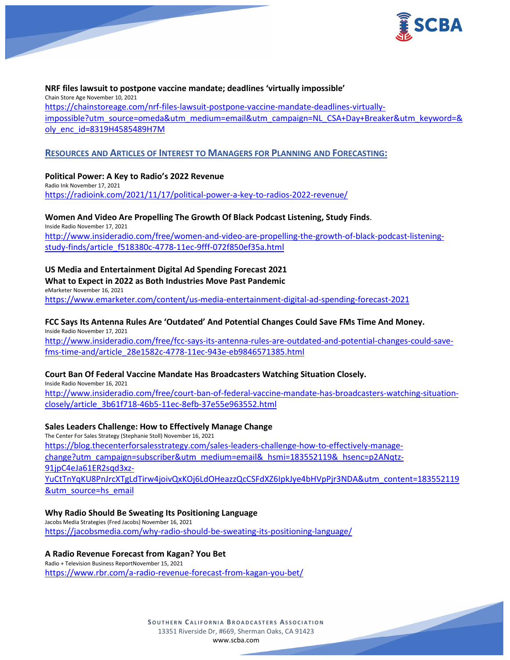

# **NRF files lawsuit to postpone vaccine mandate; deadlines 'virtually impossible'**

Chain Store Age November 10, 2021 [https://chainstoreage.com/nrf-files-lawsuit-postpone-vaccine-mandate-deadlines-virtually](https://chainstoreage.com/nrf-files-lawsuit-postpone-vaccine-mandate-deadlines-virtually-impossible?utm_source=omeda&utm_medium=email&utm_campaign=NL_CSA+Day+Breaker&utm_keyword=&oly_enc_id=8319H4585489H7M)[impossible?utm\\_source=omeda&utm\\_medium=email&utm\\_campaign=NL\\_CSA+Day+Breaker&utm\\_keyword=&](https://chainstoreage.com/nrf-files-lawsuit-postpone-vaccine-mandate-deadlines-virtually-impossible?utm_source=omeda&utm_medium=email&utm_campaign=NL_CSA+Day+Breaker&utm_keyword=&oly_enc_id=8319H4585489H7M) [oly\\_enc\\_id=8319H4585489H7M](https://chainstoreage.com/nrf-files-lawsuit-postpone-vaccine-mandate-deadlines-virtually-impossible?utm_source=omeda&utm_medium=email&utm_campaign=NL_CSA+Day+Breaker&utm_keyword=&oly_enc_id=8319H4585489H7M)

# **RESOURCES AND ARTICLES OF INTEREST TO MANAGERS FOR PLANNING AND FORECASTING:**

**Political Power: A Key to Radio's 2022 Revenue** Radio Ink November 17, 2021 <https://radioink.com/2021/11/17/political-power-a-key-to-radios-2022-revenue/>

**Women And Video Are Propelling The Growth Of Black Podcast Listening, Study Finds**. Inside Radio November 17, 2021 [http://www.insideradio.com/free/women-and-video-are-propelling-the-growth-of-black-podcast-listening](http://www.insideradio.com/free/women-and-video-are-propelling-the-growth-of-black-podcast-listening-study-finds/article_f518380c-4778-11ec-9fff-072f850ef35a.html)[study-finds/article\\_f518380c-4778-11ec-9fff-072f850ef35a.html](http://www.insideradio.com/free/women-and-video-are-propelling-the-growth-of-black-podcast-listening-study-finds/article_f518380c-4778-11ec-9fff-072f850ef35a.html)

# **US Media and Entertainment Digital Ad Spending Forecast 2021**

# **What to Expect in 2022 as Both Industries Move Past Pandemic**

eMarketer November 16, 2021 <https://www.emarketer.com/content/us-media-entertainment-digital-ad-spending-forecast-2021>

#### **FCC Says Its Antenna Rules Are 'Outdated' And Potential Changes Could Save FMs Time And Money.** Inside Radio November 17, 2021

[http://www.insideradio.com/free/fcc-says-its-antenna-rules-are-outdated-and-potential-changes-could-save](http://www.insideradio.com/free/fcc-says-its-antenna-rules-are-outdated-and-potential-changes-could-save-fms-time-and/article_28e1582c-4778-11ec-943e-eb9846571385.html)[fms-time-and/article\\_28e1582c-4778-11ec-943e-eb9846571385.html](http://www.insideradio.com/free/fcc-says-its-antenna-rules-are-outdated-and-potential-changes-could-save-fms-time-and/article_28e1582c-4778-11ec-943e-eb9846571385.html)

#### **Court Ban Of Federal Vaccine Mandate Has Broadcasters Watching Situation Closely.**

Inside Radio November 16, 2021

[http://www.insideradio.com/free/court-ban-of-federal-vaccine-mandate-has-broadcasters-watching-situation](http://www.insideradio.com/free/court-ban-of-federal-vaccine-mandate-has-broadcasters-watching-situation-closely/article_3b61f718-46b5-11ec-8efb-37e55e963552.html)[closely/article\\_3b61f718-46b5-11ec-8efb-37e55e963552.html](http://www.insideradio.com/free/court-ban-of-federal-vaccine-mandate-has-broadcasters-watching-situation-closely/article_3b61f718-46b5-11ec-8efb-37e55e963552.html)

# **Sales Leaders Challenge: How to Effectively Manage Change**

The Center For Sales Strategy (Stephanie Stoll) November 16, 2021 [https://blog.thecenterforsalesstrategy.com/sales-leaders-challenge-how-to-effectively-manage](https://blog.thecenterforsalesstrategy.com/sales-leaders-challenge-how-to-effectively-manage-change?utm_campaign=subscriber&utm_medium=email&_hsmi=183552119&_hsenc=p2ANqtz-91jpC4eJa61ER2sqd3xz-YuCtTnYqKU8PnJrcXTgLdTirw4joivQxKOj6LdOHeazzQcCSFdXZ6IpkJye4bHVpPjr3NDA&utm_content=183552119&utm_source=hs_email)[change?utm\\_campaign=subscriber&utm\\_medium=email&\\_hsmi=183552119&\\_hsenc=p2ANqtz-](https://blog.thecenterforsalesstrategy.com/sales-leaders-challenge-how-to-effectively-manage-change?utm_campaign=subscriber&utm_medium=email&_hsmi=183552119&_hsenc=p2ANqtz-91jpC4eJa61ER2sqd3xz-YuCtTnYqKU8PnJrcXTgLdTirw4joivQxKOj6LdOHeazzQcCSFdXZ6IpkJye4bHVpPjr3NDA&utm_content=183552119&utm_source=hs_email)[91jpC4eJa61ER2sqd3xz-](https://blog.thecenterforsalesstrategy.com/sales-leaders-challenge-how-to-effectively-manage-change?utm_campaign=subscriber&utm_medium=email&_hsmi=183552119&_hsenc=p2ANqtz-91jpC4eJa61ER2sqd3xz-YuCtTnYqKU8PnJrcXTgLdTirw4joivQxKOj6LdOHeazzQcCSFdXZ6IpkJye4bHVpPjr3NDA&utm_content=183552119&utm_source=hs_email)[YuCtTnYqKU8PnJrcXTgLdTirw4joivQxKOj6LdOHeazzQcCSFdXZ6IpkJye4bHVpPjr3NDA&utm\\_content=183552119](https://blog.thecenterforsalesstrategy.com/sales-leaders-challenge-how-to-effectively-manage-change?utm_campaign=subscriber&utm_medium=email&_hsmi=183552119&_hsenc=p2ANqtz-91jpC4eJa61ER2sqd3xz-YuCtTnYqKU8PnJrcXTgLdTirw4joivQxKOj6LdOHeazzQcCSFdXZ6IpkJye4bHVpPjr3NDA&utm_content=183552119&utm_source=hs_email) [&utm\\_source=hs\\_email](https://blog.thecenterforsalesstrategy.com/sales-leaders-challenge-how-to-effectively-manage-change?utm_campaign=subscriber&utm_medium=email&_hsmi=183552119&_hsenc=p2ANqtz-91jpC4eJa61ER2sqd3xz-YuCtTnYqKU8PnJrcXTgLdTirw4joivQxKOj6LdOHeazzQcCSFdXZ6IpkJye4bHVpPjr3NDA&utm_content=183552119&utm_source=hs_email)

## **Why Radio Should Be Sweating Its Positioning Language**

Jacobs Media Strategies (Fred Jacobs) November 16, 2021 <https://jacobsmedia.com/why-radio-should-be-sweating-its-positioning-language/>

#### **A Radio Revenue Forecast from Kagan? You Bet**

Radio + Television Business ReportNovember 15, 2021 <https://www.rbr.com/a-radio-revenue-forecast-from-kagan-you-bet/>

> **SOUTHERN C ALIFORNIA B ROADCASTERS ASSOCIATION** 13351 Riverside Dr, #669, Sherman Oaks, CA 91423 [www.scba.com](http://www.scba.com/)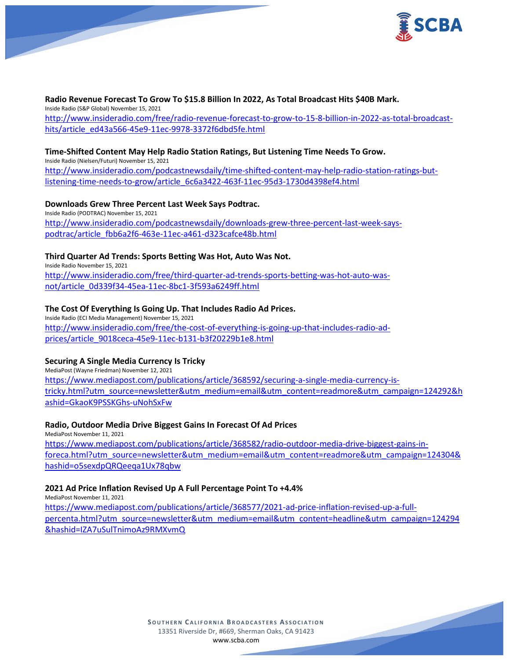

**Radio Revenue Forecast To Grow To \$15.8 Billion In 2022, As Total Broadcast Hits \$40B Mark.** Inside Radio (S&P Global) November 15, 2021 [http://www.insideradio.com/free/radio-revenue-forecast-to-grow-to-15-8-billion-in-2022-as-total-broadcast](http://www.insideradio.com/free/radio-revenue-forecast-to-grow-to-15-8-billion-in-2022-as-total-broadcast-hits/article_ed43a566-45e9-11ec-9978-3372f6dbd5fe.html)[hits/article\\_ed43a566-45e9-11ec-9978-3372f6dbd5fe.html](http://www.insideradio.com/free/radio-revenue-forecast-to-grow-to-15-8-billion-in-2022-as-total-broadcast-hits/article_ed43a566-45e9-11ec-9978-3372f6dbd5fe.html)

# **Time-Shifted Content May Help Radio Station Ratings, But Listening Time Needs To Grow.**

Inside Radio (Nielsen/Futuri) November 15, 2021 [http://www.insideradio.com/podcastnewsdaily/time-shifted-content-may-help-radio-station-ratings-but](http://www.insideradio.com/podcastnewsdaily/time-shifted-content-may-help-radio-station-ratings-but-listening-time-needs-to-grow/article_6c6a3422-463f-11ec-95d3-1730d4398ef4.html)[listening-time-needs-to-grow/article\\_6c6a3422-463f-11ec-95d3-1730d4398ef4.html](http://www.insideradio.com/podcastnewsdaily/time-shifted-content-may-help-radio-station-ratings-but-listening-time-needs-to-grow/article_6c6a3422-463f-11ec-95d3-1730d4398ef4.html)

#### **Downloads Grew Three Percent Last Week Says Podtrac.**

Inside Radio (PODTRAC) November 15, 2021 [http://www.insideradio.com/podcastnewsdaily/downloads-grew-three-percent-last-week-says](http://www.insideradio.com/podcastnewsdaily/downloads-grew-three-percent-last-week-says-podtrac/article_fbb6a2f6-463e-11ec-a461-d323cafce48b.html)[podtrac/article\\_fbb6a2f6-463e-11ec-a461-d323cafce48b.html](http://www.insideradio.com/podcastnewsdaily/downloads-grew-three-percent-last-week-says-podtrac/article_fbb6a2f6-463e-11ec-a461-d323cafce48b.html)

# **Third Quarter Ad Trends: Sports Betting Was Hot, Auto Was Not.**

Inside Radio November 15, 2021 [http://www.insideradio.com/free/third-quarter-ad-trends-sports-betting-was-hot-auto-was](http://www.insideradio.com/free/third-quarter-ad-trends-sports-betting-was-hot-auto-was-not/article_0d339f34-45ea-11ec-8bc1-3f593a6249ff.html)[not/article\\_0d339f34-45ea-11ec-8bc1-3f593a6249ff.html](http://www.insideradio.com/free/third-quarter-ad-trends-sports-betting-was-hot-auto-was-not/article_0d339f34-45ea-11ec-8bc1-3f593a6249ff.html)

# **The Cost Of Everything Is Going Up. That Includes Radio Ad Prices.**

Inside Radio (ECI Media Management) November 15, 2021 [http://www.insideradio.com/free/the-cost-of-everything-is-going-up-that-includes-radio-ad](http://www.insideradio.com/free/the-cost-of-everything-is-going-up-that-includes-radio-ad-prices/article_9018ceca-45e9-11ec-b131-b3f20229b1e8.html)[prices/article\\_9018ceca-45e9-11ec-b131-b3f20229b1e8.html](http://www.insideradio.com/free/the-cost-of-everything-is-going-up-that-includes-radio-ad-prices/article_9018ceca-45e9-11ec-b131-b3f20229b1e8.html)

#### **Securing A Single Media Currency Is Tricky**

MediaPost (Wayne Friedman) November 12, 2021 [https://www.mediapost.com/publications/article/368592/securing-a-single-media-currency-is](https://www.mediapost.com/publications/article/368592/securing-a-single-media-currency-is-tricky.html?utm_source=newsletter&utm_medium=email&utm_content=readmore&utm_campaign=124292&hashid=GkaoK9PSSKGhs-uNohSxFw)[tricky.html?utm\\_source=newsletter&utm\\_medium=email&utm\\_content=readmore&utm\\_campaign=124292&h](https://www.mediapost.com/publications/article/368592/securing-a-single-media-currency-is-tricky.html?utm_source=newsletter&utm_medium=email&utm_content=readmore&utm_campaign=124292&hashid=GkaoK9PSSKGhs-uNohSxFw) [ashid=GkaoK9PSSKGhs-uNohSxFw](https://www.mediapost.com/publications/article/368592/securing-a-single-media-currency-is-tricky.html?utm_source=newsletter&utm_medium=email&utm_content=readmore&utm_campaign=124292&hashid=GkaoK9PSSKGhs-uNohSxFw)

#### **Radio, Outdoor Media Drive Biggest Gains In Forecast Of Ad Prices**

MediaPost November 11, 2021 [https://www.mediapost.com/publications/article/368582/radio-outdoor-media-drive-biggest-gains-in](https://www.mediapost.com/publications/article/368582/radio-outdoor-media-drive-biggest-gains-in-foreca.html?utm_source=newsletter&utm_medium=email&utm_content=readmore&utm_campaign=124304&hashid=o5sexdpQRQeeqa1Ux78qbw)[foreca.html?utm\\_source=newsletter&utm\\_medium=email&utm\\_content=readmore&utm\\_campaign=124304&](https://www.mediapost.com/publications/article/368582/radio-outdoor-media-drive-biggest-gains-in-foreca.html?utm_source=newsletter&utm_medium=email&utm_content=readmore&utm_campaign=124304&hashid=o5sexdpQRQeeqa1Ux78qbw) [hashid=o5sexdpQRQeeqa1Ux78qbw](https://www.mediapost.com/publications/article/368582/radio-outdoor-media-drive-biggest-gains-in-foreca.html?utm_source=newsletter&utm_medium=email&utm_content=readmore&utm_campaign=124304&hashid=o5sexdpQRQeeqa1Ux78qbw)

#### **2021 Ad Price Inflation Revised Up A Full Percentage Point To +4.4%**

MediaPost November 11, 2021 [https://www.mediapost.com/publications/article/368577/2021-ad-price-inflation-revised-up-a-full](https://www.mediapost.com/publications/article/368577/2021-ad-price-inflation-revised-up-a-full-percenta.html?utm_source=newsletter&utm_medium=email&utm_content=headline&utm_campaign=124294&hashid=IZA7uSulTnimoAz9RMXvmQ)[percenta.html?utm\\_source=newsletter&utm\\_medium=email&utm\\_content=headline&utm\\_campaign=124294](https://www.mediapost.com/publications/article/368577/2021-ad-price-inflation-revised-up-a-full-percenta.html?utm_source=newsletter&utm_medium=email&utm_content=headline&utm_campaign=124294&hashid=IZA7uSulTnimoAz9RMXvmQ) [&hashid=IZA7uSulTnimoAz9RMXvmQ](https://www.mediapost.com/publications/article/368577/2021-ad-price-inflation-revised-up-a-full-percenta.html?utm_source=newsletter&utm_medium=email&utm_content=headline&utm_campaign=124294&hashid=IZA7uSulTnimoAz9RMXvmQ)